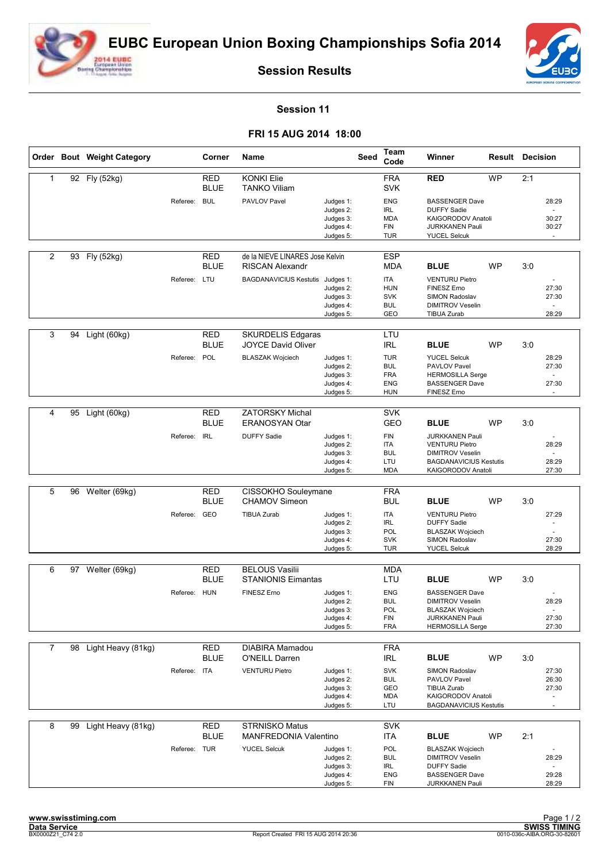



**Session Results**

## **Session 11**

## **FRI 15 AUG 2014 18:00**

|                |    | Order Bout Weight Category |              | Corner                    | Name                                                      |                                                               | <b>Seed</b> | Team<br>Code                                                       | Winner                                                                                                             |           | <b>Result Decision</b>            |  |
|----------------|----|----------------------------|--------------|---------------------------|-----------------------------------------------------------|---------------------------------------------------------------|-------------|--------------------------------------------------------------------|--------------------------------------------------------------------------------------------------------------------|-----------|-----------------------------------|--|
| 1              |    | 92 Fly (52kg)              |              | <b>RED</b><br><b>BLUE</b> | <b>KONKI Elie</b><br><b>TANKO Viliam</b>                  |                                                               |             | <b>FRA</b><br><b>SVK</b>                                           | <b>RED</b>                                                                                                         | <b>WP</b> | 2:1                               |  |
|                |    |                            | Referee:     | <b>BUL</b>                | <b>PAVLOV Pavel</b>                                       | Judges 1:<br>Judges 2:<br>Judges 3:<br>Judges 4:<br>Judges 5: |             | <b>ENG</b><br><b>IRL</b><br><b>MDA</b><br><b>FIN</b><br><b>TUR</b> | <b>BASSENGER Dave</b><br><b>DUFFY Sadie</b><br>KAIGORODOV Anatoli<br><b>JURKKANEN Pauli</b><br><b>YUCEL Selcuk</b> |           | 28:29<br>30:27<br>30:27<br>$\sim$ |  |
| $\overline{2}$ | 93 | Fly (52kg)                 |              | <b>RED</b><br><b>BLUE</b> | de la NIEVE LINARES Jose Kelvin<br><b>RISCAN Alexandr</b> |                                                               |             | <b>ESP</b><br>MDA                                                  | <b>BLUE</b>                                                                                                        | <b>WP</b> | 3:0                               |  |
|                |    |                            | Referee: LTU |                           | BAGDANAVICIUS Kestutis Judges 1:                          | Judges 2:<br>Judges 3:<br>Judges 4:<br>Judges 5:              |             | <b>ITA</b><br><b>HUN</b><br><b>SVK</b><br><b>BUL</b><br>GEO        | <b>VENTURU Pietro</b><br>FINESZ Erno<br>SIMON Radoslav<br><b>DIMITROV Veselin</b><br><b>TIBUA Zurab</b>            |           | 27:30<br>27:30<br>28:29           |  |
|                |    |                            |              |                           |                                                           |                                                               |             |                                                                    |                                                                                                                    |           |                                   |  |
| 3              | 94 | Light (60kg)               |              | <b>RED</b><br><b>BLUE</b> | <b>SKURDELIS Edgaras</b><br><b>JOYCE David Oliver</b>     |                                                               |             | LTU<br><b>IRL</b>                                                  | <b>BLUE</b>                                                                                                        | <b>WP</b> | 3:0                               |  |
|                |    |                            | Referee:     | POL                       | <b>BLASZAK Wojciech</b>                                   | Judges 1:<br>Judges 2:<br>Judges 3:<br>Judges 4:<br>Judges 5: |             | <b>TUR</b><br><b>BUL</b><br><b>FRA</b><br>ENG<br><b>HUN</b>        | <b>YUCEL Selcuk</b><br>PAVLOV Pavel<br><b>HERMOSILLA Serge</b><br><b>BASSENGER Dave</b><br>FINESZ Erno             |           | 28:29<br>27:30<br>27:30<br>$\sim$ |  |
|                |    |                            |              |                           |                                                           |                                                               |             |                                                                    |                                                                                                                    |           |                                   |  |
| 4              | 95 | Light (60kg)               |              | <b>RED</b><br><b>BLUE</b> | <b>ZATORSKY Michal</b><br><b>ERANOSYAN Otar</b>           |                                                               |             | <b>SVK</b><br>GEO                                                  | <b>BLUE</b>                                                                                                        | <b>WP</b> | 3:0                               |  |
|                |    |                            | Referee:     | <b>IRL</b>                | <b>DUFFY Sadie</b>                                        | Judges 1:<br>Judges 2:<br>Judges 3:                           |             | <b>FIN</b><br><b>ITA</b><br><b>BUL</b>                             | <b>JURKKANEN Pauli</b><br><b>VENTURU Pietro</b><br><b>DIMITROV Veselin</b>                                         |           | 28:29<br>$\overline{a}$           |  |
|                |    |                            |              |                           |                                                           | Judges 4:<br>Judges 5:                                        |             | LTU<br><b>MDA</b>                                                  | <b>BAGDANAVICIUS Kestutis</b><br>KAIGORODOV Anatoli                                                                |           | 28:29<br>27:30                    |  |
| 5              | 96 | Welter (69kg)              |              | <b>RED</b>                | CISSOKHO Souleymane                                       |                                                               |             | <b>FRA</b>                                                         |                                                                                                                    |           |                                   |  |
|                |    |                            |              | <b>BLUE</b>               | <b>CHAMOV Simeon</b>                                      |                                                               |             | <b>BUL</b>                                                         | <b>BLUE</b>                                                                                                        | <b>WP</b> | 3:0                               |  |
|                |    |                            | Referee:     | GEO                       | <b>TIBUA Zurab</b>                                        | Judges 1:<br>Judges 2:                                        |             | <b>ITA</b><br><b>IRL</b>                                           | <b>VENTURU Pietro</b><br><b>DUFFY Sadie</b>                                                                        |           | 27:29                             |  |
|                |    |                            |              |                           |                                                           | Judges 3:<br>Judges 4:                                        |             | POL<br><b>SVK</b>                                                  | <b>BLASZAK Wojciech</b><br>SIMON Radoslav                                                                          |           | 27:30                             |  |
|                |    |                            |              |                           |                                                           | Judges 5:                                                     |             | <b>TUR</b>                                                         | <b>YUCEL Selcuk</b>                                                                                                |           | 28:29                             |  |
| 6              | 97 | Welter (69kg)              |              | <b>RED</b>                | <b>BELOUS Vasilii</b>                                     |                                                               |             | <b>MDA</b>                                                         |                                                                                                                    |           |                                   |  |
|                |    |                            |              | <b>BLUE</b>               | <b>STANIONIS Eimantas</b>                                 |                                                               |             | LTU                                                                | <b>BLUE</b>                                                                                                        | <b>WP</b> | 3:0                               |  |
|                |    |                            | Referee:     | <b>HUN</b>                | <b>FINESZ Erno</b>                                        | Judges 1:<br>Judges 2:                                        |             | <b>ENG</b><br><b>BUL</b>                                           | <b>BASSENGER Dave</b><br><b>DIMITROV Veselin</b>                                                                   |           | 28:29                             |  |
|                |    |                            |              |                           |                                                           | Judges 3:                                                     |             | <b>POL</b>                                                         | BLASZAK Wojciech                                                                                                   |           | $\sim$                            |  |
|                |    |                            |              |                           |                                                           | Judges 4:<br>Judges 5:                                        |             | <b>FIN</b><br><b>FRA</b>                                           | <b>JURKKANEN Pauli</b><br><b>HERMOSILLA Serge</b>                                                                  |           | 27:30<br>27:30                    |  |
| 7              |    | 98 Light Heavy (81kg)      |              | <b>RED</b>                | DIABIRA Mamadou                                           |                                                               |             | <b>FRA</b>                                                         |                                                                                                                    |           |                                   |  |
|                |    |                            |              | <b>BLUE</b>               | O'NEILL Darren                                            |                                                               |             | <b>IRL</b>                                                         | <b>BLUE</b>                                                                                                        | <b>WP</b> | 3:0                               |  |
|                |    |                            | Referee: ITA |                           | <b>VENTURU Pietro</b>                                     | Judges 1:<br>Judges 2:                                        |             | <b>SVK</b><br><b>BUL</b>                                           | SIMON Radoslav<br>PAVLOV Pavel                                                                                     |           | 27:30<br>26:30                    |  |
|                |    |                            |              |                           |                                                           | Judges 3:                                                     |             | GEO                                                                | TIBUA Zurab                                                                                                        |           | 27:30                             |  |
|                |    |                            |              |                           |                                                           | Judges 4:<br>Judges 5:                                        |             | MDA<br>LTU                                                         | KAIGORODOV Anatoli<br><b>BAGDANAVICIUS Kestutis</b>                                                                |           | ä,                                |  |
| 8              | 99 | Light Heavy (81kg)         |              | <b>RED</b><br><b>BLUE</b> | <b>STRNISKO Matus</b><br><b>MANFREDONIA Valentino</b>     |                                                               |             | <b>SVK</b><br><b>ITA</b>                                           | <b>BLUE</b>                                                                                                        | <b>WP</b> | 2:1                               |  |
|                |    |                            | Referee: TUR |                           | <b>YUCEL Selcuk</b>                                       | Judges 1:                                                     |             | <b>POL</b>                                                         | <b>BLASZAK Wojciech</b>                                                                                            |           |                                   |  |
|                |    |                            |              |                           |                                                           | Judges 2:<br>Judges 3:                                        |             | <b>BUL</b><br>IRL                                                  | <b>DIMITROV Veselin</b><br><b>DUFFY Sadie</b>                                                                      |           | 28:29                             |  |
|                |    |                            |              |                           |                                                           | Judges 4:<br>Judges 5:                                        |             | ENG<br>FIN                                                         | <b>BASSENGER Dave</b><br><b>JURKKANEN Pauli</b>                                                                    |           | 29:28<br>28:29                    |  |